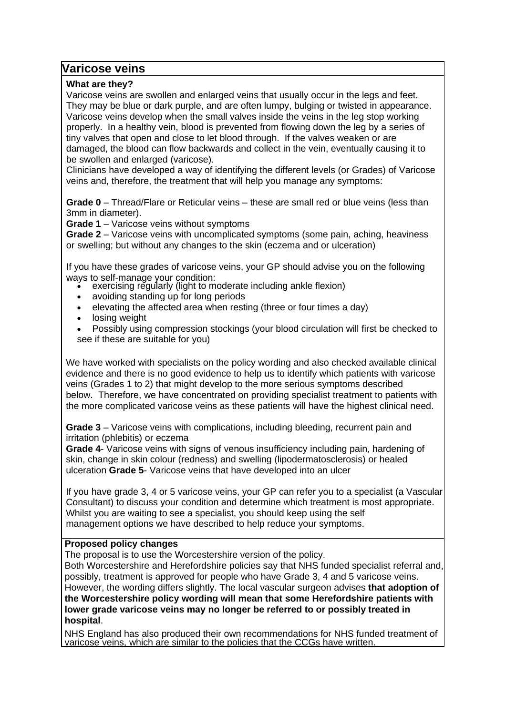# **Varicose veins**

## **What are they?**

Varicose veins are swollen and enlarged veins that usually occur in the legs and feet. They may be blue or dark purple, and are often lumpy, bulging or twisted in appearance. Varicose veins develop when the small valves inside the veins in the leg stop working properly. In a healthy vein, blood is prevented from flowing down the leg by a series of tiny valves that open and close to let blood through. If the valves weaken or are damaged, the blood can flow backwards and collect in the vein, eventually causing it to be swollen and enlarged (varicose).

Clinicians have developed a way of identifying the different levels (or Grades) of Varicose veins and, therefore, the treatment that will help you manage any symptoms:

**Grade 0** – Thread/Flare or Reticular veins – these are small red or blue veins (less than 3mm in diameter).

**Grade 1** – Varicose veins without symptoms

**Grade 2** – Varicose veins with uncomplicated symptoms (some pain, aching, heaviness or swelling; but without any changes to the skin (eczema and or ulceration)

If you have these grades of varicose veins, your GP should advise you on the following ways to self-manage your condition:

- exercising regularly (light to moderate including ankle flexion)
- avoiding standing up for long periods
- elevating the affected area when resting (three or four times a day)
- losing weight
- Possibly using compression stockings (your blood circulation will first be checked to see if these are suitable for you)

We have worked with specialists on the policy wording and also checked available clinical evidence and there is no good evidence to help us to identify which patients with varicose veins (Grades 1 to 2) that might develop to the more serious symptoms described below. Therefore, we have concentrated on providing specialist treatment to patients with the more complicated varicose veins as these patients will have the highest clinical need.

**Grade 3** – Varicose veins with complications, including bleeding, recurrent pain and irritation (phlebitis) or eczema

**Grade 4**- Varicose veins with signs of venous insufficiency including pain, hardening of skin, change in skin colour (redness) and swelling (lipodermatosclerosis) or healed ulceration **Grade 5**- Varicose veins that have developed into an ulcer

If you have grade 3, 4 or 5 varicose veins, your GP can refer you to a specialist (a Vascular Consultant) to discuss your condition and determine which treatment is most appropriate. Whilst you are waiting to see a specialist, you should keep using the self management options we have described to help reduce your symptoms.

## **Proposed policy changes**

The proposal is to use the Worcestershire version of the policy.

Both Worcestershire and Herefordshire policies say that NHS funded specialist referral and, possibly, treatment is approved for people who have Grade 3, 4 and 5 varicose veins. However, the wording differs slightly. The local vascular surgeon advises **that adoption of the Worcestershire policy wording will mean that some Herefordshire patients with lower grade varicose veins may no longer be referred to or possibly treated in hospital**.

NHS England has also produced their own recommendations for NHS funded treatment of varicose veins, which are similar to the policies that the CCGs have written.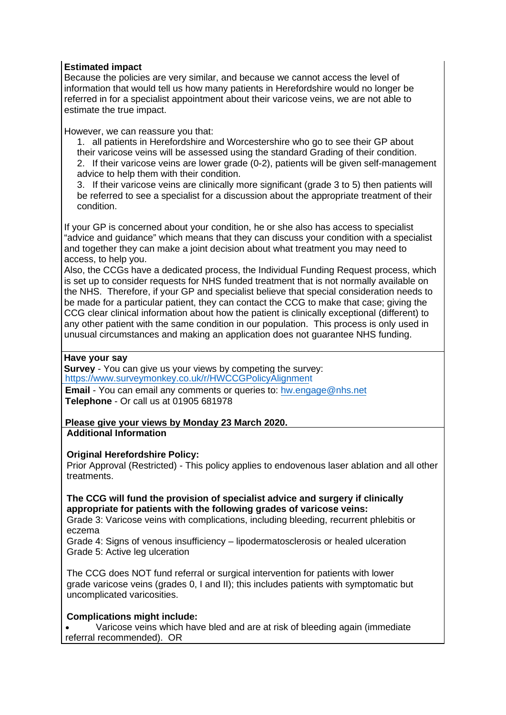## **Estimated impact**

Because the policies are very similar, and because we cannot access the level of information that would tell us how many patients in Herefordshire would no longer be referred in for a specialist appointment about their varicose veins, we are not able to estimate the true impact.

However, we can reassure you that:

1. all patients in Herefordshire and Worcestershire who go to see their GP about their varicose veins will be assessed using the standard Grading of their condition.

2. If their varicose veins are lower grade (0-2), patients will be given self-management advice to help them with their condition.

3. If their varicose veins are clinically more significant (grade 3 to 5) then patients will be referred to see a specialist for a discussion about the appropriate treatment of their condition.

If your GP is concerned about your condition, he or she also has access to specialist "advice and guidance" which means that they can discuss your condition with a specialist and together they can make a joint decision about what treatment you may need to access, to help you.

Also, the CCGs have a dedicated process, the Individual Funding Request process, which is set up to consider requests for NHS funded treatment that is not normally available on the NHS. Therefore, if your GP and specialist believe that special consideration needs to be made for a particular patient, they can contact the CCG to make that case; giving the CCG clear clinical information about how the patient is clinically exceptional (different) to any other patient with the same condition in our population. This process is only used in unusual circumstances and making an application does not guarantee NHS funding.

## **Have your say**

**Survey** - You can give us your views by competing the survey: <https://www.surveymonkey.co.uk/r/HWCCGPolicyAlignment>

**Email** - You can email any comments or queries to: [hw.engage@nhs.net](mailto:hw.engage@nhs.net) **Telephone** - Or call us at 01905 681978

#### **Please give your views by Monday 23 March 2020. Additional Information**

## **Original Herefordshire Policy:**

Prior Approval (Restricted) - This policy applies to endovenous laser ablation and all other treatments.

## **The CCG will fund the provision of specialist advice and surgery if clinically appropriate for patients with the following grades of varicose veins:**

Grade 3: Varicose veins with complications, including bleeding, recurrent phlebitis or eczema

Grade 4: Signs of venous insufficiency – lipodermatosclerosis or healed ulceration Grade 5: Active leg ulceration

The CCG does NOT fund referral or surgical intervention for patients with lower grade varicose veins (grades 0, I and II); this includes patients with symptomatic but uncomplicated varicosities.

## **Complications might include:**

• Varicose veins which have bled and are at risk of bleeding again (immediate referral recommended). OR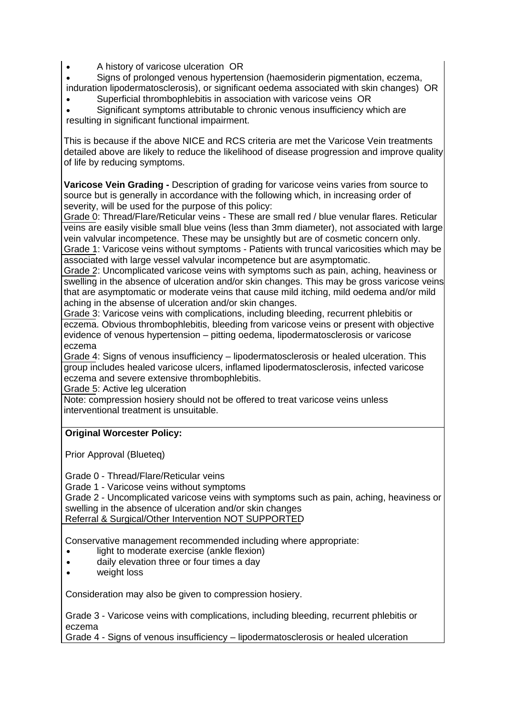- A history of varicose ulceration OR
- Signs of prolonged venous hypertension (haemosiderin pigmentation, eczema, induration lipodermatosclerosis), or significant oedema associated with skin changes) OR
- Superficial thrombophlebitis in association with varicose veins OR

• Significant symptoms attributable to chronic venous insufficiency which are resulting in significant functional impairment.

This is because if the above NICE and RCS criteria are met the Varicose Vein treatments detailed above are likely to reduce the likelihood of disease progression and improve quality of life by reducing symptoms.

**Varicose Vein Grading -** Description of grading for varicose veins varies from source to source but is generally in accordance with the following which, in increasing order of severity, will be used for the purpose of this policy:

Grade 0: Thread/Flare/Reticular veins - These are small red / blue venular flares. Reticular veins are easily visible small blue veins (less than 3mm diameter), not associated with large vein valvular incompetence. These may be unsightly but are of cosmetic concern only. Grade 1: Varicose veins without symptoms - Patients with truncal varicosities which may be

associated with large vessel valvular incompetence but are asymptomatic. Grade 2: Uncomplicated varicose veins with symptoms such as pain, aching, heaviness or swelling in the absence of ulceration and/or skin changes. This may be gross varicose veins that are asymptomatic or moderate veins that cause mild itching, mild oedema and/or mild aching in the absense of ulceration and/or skin changes.

Grade 3: Varicose veins with complications, including bleeding, recurrent phlebitis or eczema. Obvious thrombophlebitis, bleeding from varicose veins or present with objective evidence of venous hypertension – pitting oedema, lipodermatosclerosis or varicose eczema

Grade 4: Signs of venous insufficiency – lipodermatosclerosis or healed ulceration. This group includes healed varicose ulcers, inflamed lipodermatosclerosis, infected varicose eczema and severe extensive thrombophlebitis.

Grade 5: Active leg ulceration

Note: compression hosiery should not be offered to treat varicose veins unless interventional treatment is unsuitable.

## **Original Worcester Policy:**

Prior Approval (Blueteq)

Grade 0 - Thread/Flare/Reticular veins

Grade 1 - Varicose veins without symptoms

Grade 2 - Uncomplicated varicose veins with symptoms such as pain, aching, heaviness or swelling in the absence of ulceration and/or skin changes Referral & Surgical/Other Intervention NOT SUPPORTED

Conservative management recommended including where appropriate:

- light to moderate exercise (ankle flexion)
- daily elevation three or four times a day
- weight loss

Consideration may also be given to compression hosiery.

Grade 3 - Varicose veins with complications, including bleeding, recurrent phlebitis or eczema

Grade 4 - Signs of venous insufficiency – lipodermatosclerosis or healed ulceration